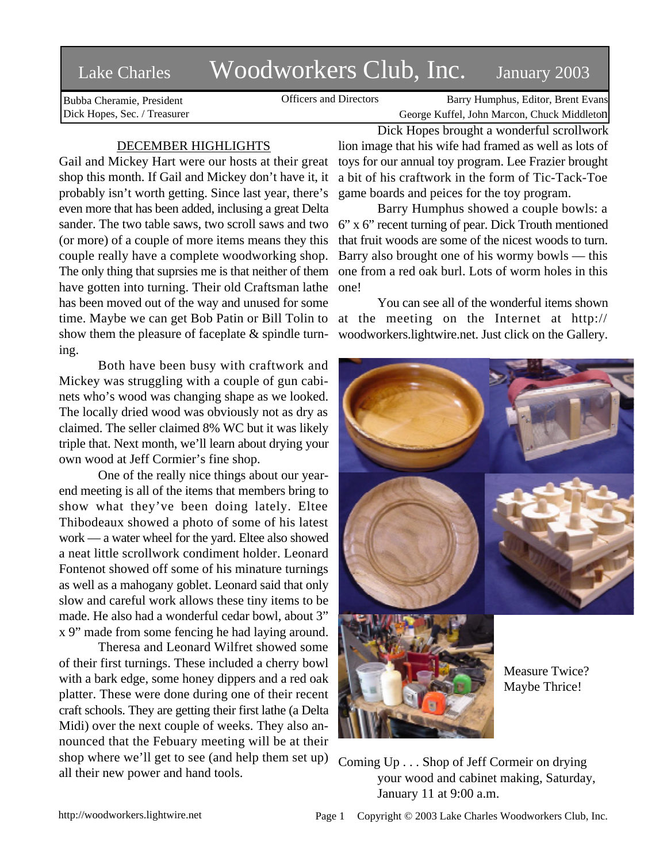# Lake Charles Woodworkers Club, Inc. January 2003

Bubba Cheramie, President Dick Hopes, Sec. / Treasurer

Officers and Directors Barry Humphus, Editor, Brent Evans George Kuffel, John Marcon, Chuck Middleton

## DECEMBER HIGHLIGHTS

Gail and Mickey Hart were our hosts at their great shop this month. If Gail and Mickey don't have it, it probably isn't worth getting. Since last year, there's even more that has been added, inclusing a great Delta sander. The two table saws, two scroll saws and two (or more) of a couple of more items means they this couple really have a complete woodworking shop. The only thing that suprsies me is that neither of them have gotten into turning. Their old Craftsman lathe has been moved out of the way and unused for some time. Maybe we can get Bob Patin or Bill Tolin to show them the pleasure of faceplate  $\&$  spindle turning.

Both have been busy with craftwork and Mickey was struggling with a couple of gun cabinets who's wood was changing shape as we looked. The locally dried wood was obviously not as dry as claimed. The seller claimed 8% WC but it was likely triple that. Next month, we'll learn about drying your own wood at Jeff Cormier's fine shop.

One of the really nice things about our yearend meeting is all of the items that members bring to show what they've been doing lately. Eltee Thibodeaux showed a photo of some of his latest work — a water wheel for the yard. Eltee also showed a neat little scrollwork condiment holder. Leonard Fontenot showed off some of his minature turnings as well as a mahogany goblet. Leonard said that only slow and careful work allows these tiny items to be made. He also had a wonderful cedar bowl, about 3" x 9" made from some fencing he had laying around.

Theresa and Leonard Wilfret showed some of their first turnings. These included a cherry bowl with a bark edge, some honey dippers and a red oak platter. These were done during one of their recent craft schools. They are getting their first lathe (a Delta Midi) over the next couple of weeks. They also announced that the Febuary meeting will be at their shop where we'll get to see (and help them set up) all their new power and hand tools.

Dick Hopes brought a wonderful scrollwork lion image that his wife had framed as well as lots of toys for our annual toy program. Lee Frazier brought a bit of his craftwork in the form of Tic-Tack-Toe game boards and peices for the toy program.

Barry Humphus showed a couple bowls: a 6" x 6" recent turning of pear. Dick Trouth mentioned that fruit woods are some of the nicest woods to turn. Barry also brought one of his wormy bowls — this one from a red oak burl. Lots of worm holes in this one!

You can see all of the wonderful items shown at the meeting on the Internet at http:// woodworkers.lightwire.net. Just click on the Gallery.



Coming Up . . . Shop of Jeff Cormeir on drying your wood and cabinet making, Saturday, January 11 at 9:00 a.m.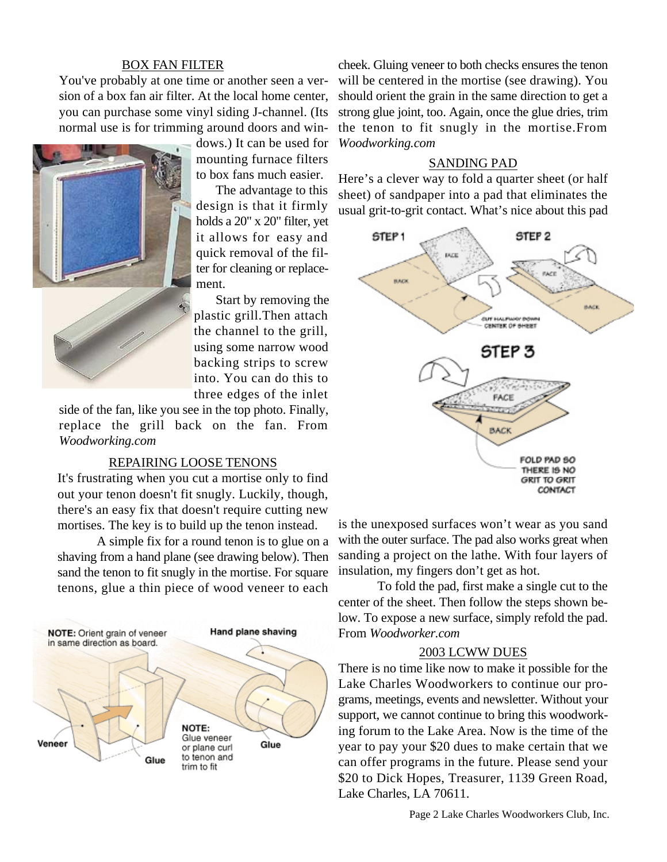## BOX FAN FILTER

You've probably at one time or another seen a version of a box fan air filter. At the local home center, you can purchase some vinyl siding J-channel. (Its normal use is for trimming around doors and win-



dows.) It can be used for mounting furnace filters to box fans much easier.

The advantage to this design is that it firmly holds a 20" x 20" filter, yet it allows for easy and quick removal of the filter for cleaning or replacement.

Start by removing the plastic grill.Then attach the channel to the grill, using some narrow wood backing strips to screw into. You can do this to three edges of the inlet

side of the fan, like you see in the top photo. Finally, replace the grill back on the fan. From *Woodworking.com*

#### REPAIRING LOOSE TENONS

It's frustrating when you cut a mortise only to find out your tenon doesn't fit snugly. Luckily, though, there's an easy fix that doesn't require cutting new mortises. The key is to build up the tenon instead.

A simple fix for a round tenon is to glue on a shaving from a hand plane (see drawing below). Then sand the tenon to fit snugly in the mortise. For square tenons, glue a thin piece of wood veneer to each



cheek. Gluing veneer to both checks ensures the tenon will be centered in the mortise (see drawing). You should orient the grain in the same direction to get a strong glue joint, too. Again, once the glue dries, trim the tenon to fit snugly in the mortise.From *Woodworking.com*

### SANDING PAD

Here's a clever way to fold a quarter sheet (or half sheet) of sandpaper into a pad that eliminates the usual grit-to-grit contact. What's nice about this pad



is the unexposed surfaces won't wear as you sand with the outer surface. The pad also works great when sanding a project on the lathe. With four layers of insulation, my fingers don't get as hot.

To fold the pad, first make a single cut to the center of the sheet. Then follow the steps shown below. To expose a new surface, simply refold the pad. From *Woodworker.com*

#### 2003 LCWW DUES

There is no time like now to make it possible for the Lake Charles Woodworkers to continue our programs, meetings, events and newsletter. Without your support, we cannot continue to bring this woodworking forum to the Lake Area. Now is the time of the year to pay your \$20 dues to make certain that we can offer programs in the future. Please send your \$20 to Dick Hopes, Treasurer, 1139 Green Road, Lake Charles, LA 70611.